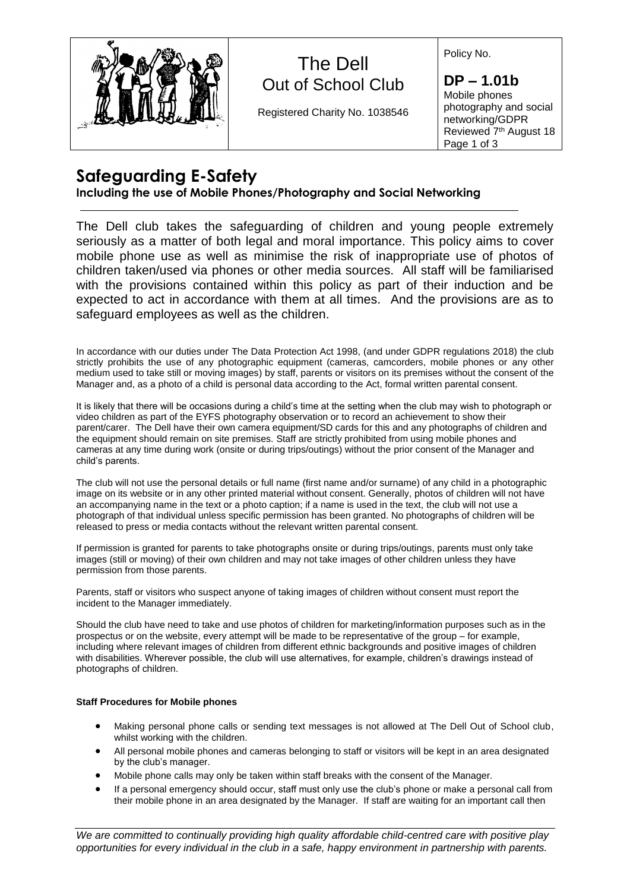

## The Dell Out of School Club

Registered Charity No. 1038546

Policy No.

**DP – 1.01b** Mobile phones photography and social networking/GDPR Reviewed 7<sup>th</sup> August 18 Page 1 of 3

## **Safeguarding E-Safety**

### **Including the use of Mobile Phones/Photography and Social Networking**

The Dell club takes the safeguarding of children and young people extremely seriously as a matter of both legal and moral importance. This policy aims to cover mobile phone use as well as minimise the risk of inappropriate use of photos of children taken/used via phones or other media sources. All staff will be familiarised with the provisions contained within this policy as part of their induction and be expected to act in accordance with them at all times. And the provisions are as to safeguard employees as well as the children.

In accordance with our duties under The Data Protection Act 1998, (and under GDPR regulations 2018) the club strictly prohibits the use of any photographic equipment (cameras, camcorders, mobile phones or any other medium used to take still or moving images) by staff, parents or visitors on its premises without the consent of the Manager and, as a photo of a child is personal data according to the Act, formal written parental consent.

It is likely that there will be occasions during a child's time at the setting when the club may wish to photograph or video children as part of the EYFS photography observation or to record an achievement to show their parent/carer. The Dell have their own camera equipment/SD cards for this and any photographs of children and the equipment should remain on site premises. Staff are strictly prohibited from using mobile phones and cameras at any time during work (onsite or during trips/outings) without the prior consent of the Manager and child's parents.

The club will not use the personal details or full name (first name and/or surname) of any child in a photographic image on its website or in any other printed material without consent. Generally, photos of children will not have an accompanying name in the text or a photo caption; if a name is used in the text, the club will not use a photograph of that individual unless specific permission has been granted. No photographs of children will be released to press or media contacts without the relevant written parental consent.

If permission is granted for parents to take photographs onsite or during trips/outings, parents must only take images (still or moving) of their own children and may not take images of other children unless they have permission from those parents.

Parents, staff or visitors who suspect anyone of taking images of children without consent must report the incident to the Manager immediately.

Should the club have need to take and use photos of children for marketing/information purposes such as in the prospectus or on the website, every attempt will be made to be representative of the group – for example, including where relevant images of children from different ethnic backgrounds and positive images of children with disabilities. Wherever possible, the club will use alternatives, for example, children's drawings instead of photographs of children.

#### **Staff Procedures for Mobile phones**

- Making personal phone calls or sending text messages is not allowed at The Dell Out of School club, whilst working with the children.
- All personal mobile phones and cameras belonging to staff or visitors will be kept in an area designated by the club's manager.
- Mobile phone calls may only be taken within staff breaks with the consent of the Manager.
- If a personal emergency should occur, staff must only use the club's phone or make a personal call from their mobile phone in an area designated by the Manager. If staff are waiting for an important call then

*We are committed to continually providing high quality affordable child-centred care with positive play opportunities for every individual in the club in a safe, happy environment in partnership with parents.*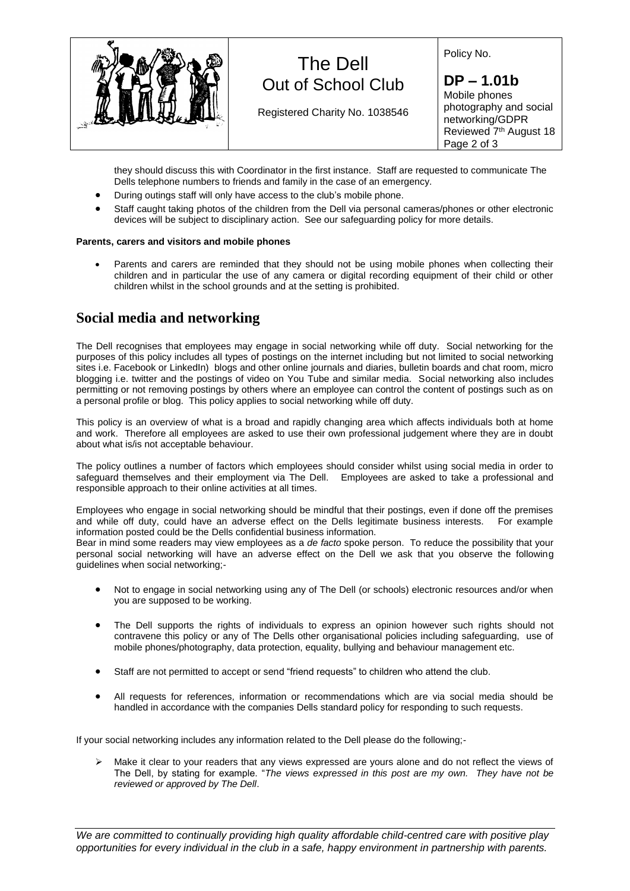

# The Dell Out of School Club

Registered Charity No. 1038546

Policy No.

**DP – 1.01b** Mobile phones photography and social networking/GDPR Reviewed 7<sup>th</sup> August 18 Page 2 of 3

they should discuss this with Coordinator in the first instance. Staff are requested to communicate The Dells telephone numbers to friends and family in the case of an emergency.

- During outings staff will only have access to the club's mobile phone.
- Staff caught taking photos of the children from the Dell via personal cameras/phones or other electronic devices will be subject to disciplinary action. See our safeguarding policy for more details.
- Parents and carers are reminded that they should not be using mobile phones when collecting their children and in particular the use of any camera or digital recording equipment of their child or other children whilst in the school grounds and at the setting is prohibited.

### **Social media and networking**

The Dell recognises that employees may engage in social networking while off duty. Social networking for the purposes of this policy includes all types of postings on the internet including but not limited to social networking sites i.e. Facebook or LinkedIn) blogs and other online journals and diaries, bulletin boards and chat room, micro blogging i.e. twitter and the postings of video on You Tube and similar media. Social networking also includes permitting or not removing postings by others where an employee can control the content of postings such as on a personal profile or blog. This policy applies to social networking while off duty.

This policy is an overview of what is a broad and rapidly changing area which affects individuals both at home and work. Therefore all employees are asked to use their own professional judgement where they are in doubt about what is/is not acceptable behaviour.

The policy outlines a number of factors which employees should consider whilst using social media in order to safeguard themselves and their employment via The Dell. Employees are asked to take a professional and responsible approach to their online activities at all times.

Employees who engage in social networking should be mindful that their postings, even if done off the premises and while off duty, could have an adverse effect on the Dells legitimate business interests. For example information posted could be the Dells confidential business information.

Bear in mind some readers may view employees as a *de facto* spoke person. To reduce the possibility that your personal social networking will have an adverse effect on the Dell we ask that you observe the following guidelines when social networking;-

- Not to engage in social networking using any of The Dell (or schools) electronic resources and/or when you are supposed to be working.
- The Dell supports the rights of individuals to express an opinion however such rights should not contravene this policy or any of The Dells other organisational policies including safeguarding, use of mobile phones/photography, data protection, equality, bullying and behaviour management etc.
- Staff are not permitted to accept or send "friend requests" to children who attend the club.
- All requests for references, information or recommendations which are via social media should be handled in accordance with the companies Dells standard policy for responding to such requests.

If your social networking includes any information related to the Dell please do the following;-

 $\triangleright$  Make it clear to your readers that any views expressed are yours alone and do not reflect the views of The Dell, by stating for example. "*The views expressed in this post are my own. They have not be reviewed or approved by The Dell*.